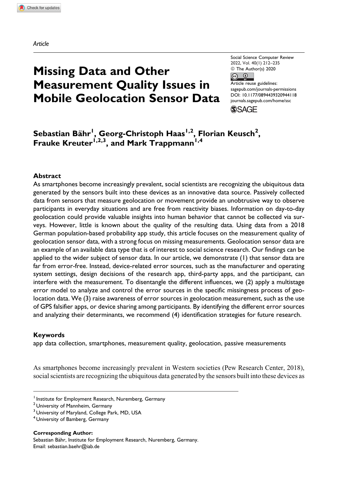# Missing Data and Other Measurement Quality Issues in Mobile Geolocation Sensor Data

Social Science Computer Review  $\circled{c}$  The Author(s) 2020 2022, Vol. 40(1) 212–235

Article reuse guidelines: sagepub.com/journals-permissions DOI: 10.1177/0894439320944118 journals.sagepub.com/home/ssc



# ${\sf Sebastian~B\ddot{a}hr}^{\sf I}, {\sf Georg\text{-}Christoph~Haas}^{\sf I,2}, {\sf Florian~Keusch}^{\sf 2},$ Frauke Kreuter<sup>1,2,3</sup>, and Mark Trappmann<sup>1,4</sup>

#### Abstract

As smartphones become increasingly prevalent, social scientists are recognizing the ubiquitous data generated by the sensors built into these devices as an innovative data source. Passively collected data from sensors that measure geolocation or movement provide an unobtrusive way to observe participants in everyday situations and are free from reactivity biases. Information on day-to-day geolocation could provide valuable insights into human behavior that cannot be collected via surveys. However, little is known about the quality of the resulting data. Using data from a 2018 German population-based probability app study, this article focuses on the measurement quality of geolocation sensor data, with a strong focus on missing measurements. Geolocation sensor data are an example of an available data type that is of interest to social science research. Our findings can be applied to the wider subject of sensor data. In our article, we demonstrate (1) that sensor data are far from error-free. Instead, device-related error sources, such as the manufacturer and operating system settings, design decisions of the research app, third-party apps, and the participant, can interfere with the measurement. To disentangle the different influences, we (2) apply a multistage error model to analyze and control the error sources in the specific missingness process of geolocation data. We (3) raise awareness of error sources in geolocation measurement, such as the use of GPS falsifier apps, or device sharing among participants. By identifying the different error sources and analyzing their determinants, we recommend (4) identification strategies for future research.

#### Keywords

app data collection, smartphones, measurement quality, geolocation, passive measurements

As smartphones become increasingly prevalent in Western societies (Pew Research Center, 2018), social scientists are recognizing the ubiquitous data generated by the sensors built into these devices as

<sup>2</sup> University of Mannheim, Germany

Corresponding Author:

Sebastian Bähr, Institute for Employment Research, Nuremberg, Germany. Email: sebastian.baehr@iab.de

<sup>&</sup>lt;sup>1</sup> Institute for Employment Research, Nuremberg, Germany

<sup>&</sup>lt;sup>3</sup> University of Maryland, College Park, MD, USA

<sup>4</sup> University of Bamberg, Germany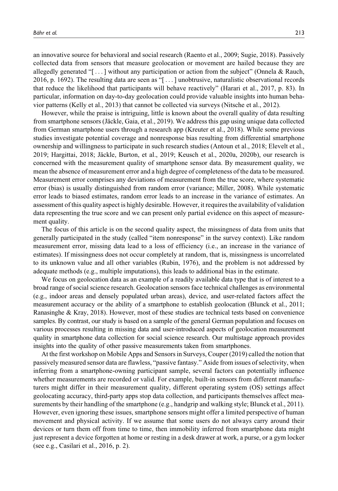an innovative source for behavioral and social research (Raento et al., 2009; Sugie, 2018). Passively collected data from sensors that measure geolocation or movement are hailed because they are allegedly generated "[ $\dots$ ] without any participation or action from the subject" (Onnela & Rauch, 2016, p. 1692). The resulting data are seen as "[ ... ] unobtrusive, naturalistic observational records that reduce the likelihood that participants will behave reactively" (Harari et al., 2017, p. 83). In particular, information on day-to-day geolocation could provide valuable insights into human behavior patterns (Kelly et al., 2013) that cannot be collected via surveys (Nitsche et al., 2012).

However, while the praise is intriguing, little is known about the overall quality of data resulting from smartphone sensors (Jäckle, Gaia, et al., 2019). We address this gap using unique data collected from German smartphone users through a research app (Kreuter et al., 2018). While some previous studies investigate potential coverage and nonresponse bias resulting from differential smartphone ownership and willingness to participate in such research studies (Antoun et al., 2018; Elevelt et al., 2019; Hargittai, 2018; Jäckle, Burton, et al., 2019; Keusch et al., 2020a, 2020b), our research is concerned with the measurement quality of smartphone sensor data. By measurement quality, we mean the absence of measurement error and a high degree of completeness of the data to be measured. Measurement error comprises any deviations of measurement from the true score, where systematic error (bias) is usually distinguished from random error (variance; Miller, 2008). While systematic error leads to biased estimates, random error leads to an increase in the variance of estimates. An assessment of this quality aspect is highly desirable. However, it requires the availability of validation data representing the true score and we can present only partial evidence on this aspect of measurement quality.

The focus of this article is on the second quality aspect, the missingness of data from units that generally participated in the study (called "item nonresponse" in the survey context). Like random measurement error, missing data lead to a loss of efficiency (i.e., an increase in the variance of estimates). If missingness does not occur completely at random, that is, missingness is uncorrelated to its unknown value and all other variables (Rubin, 1976), and the problem is not addressed by adequate methods (e.g., multiple imputations), this leads to additional bias in the estimate.

We focus on geolocation data as an example of a readily available data type that is of interest to a broad range of social science research. Geolocation sensors face technical challenges as environmental (e.g., indoor areas and densely populated urban areas), device, and user-related factors affect the measurement accuracy or the ability of a smartphone to establish geolocation (Blunck et al., 2011; Ranasinghe & Kray, 2018). However, most of these studies are technical tests based on convenience samples. By contrast, our study is based on a sample of the general German population and focuses on various processes resulting in missing data and user-introduced aspects of geolocation measurement quality in smartphone data collection for social science research. Our multistage approach provides insights into the quality of other passive measurements taken from smartphones.

At the first workshop on Mobile Apps and Sensors in Surveys, Couper (2019) called the notion that passively measured sensor data are flawless, "passive fantasy." Aside from issues of selectivity, when inferring from a smartphone-owning participant sample, several factors can potentially influence whether measurements are recorded or valid. For example, built-in sensors from different manufacturers might differ in their measurement quality, different operating system (OS) settings affect geolocating accuracy, third-party apps stop data collection, and participants themselves affect measurements by their handling of the smartphone (e.g., handgrip and walking style; Blunck et al., 2011). However, even ignoring these issues, smartphone sensors might offer a limited perspective of human movement and physical activity. If we assume that some users do not always carry around their devices or turn them off from time to time, then immobility inferred from smartphone data might just represent a device forgotten at home or resting in a desk drawer at work, a purse, or a gym locker (see e.g., Casilari et al., 2016, p. 2).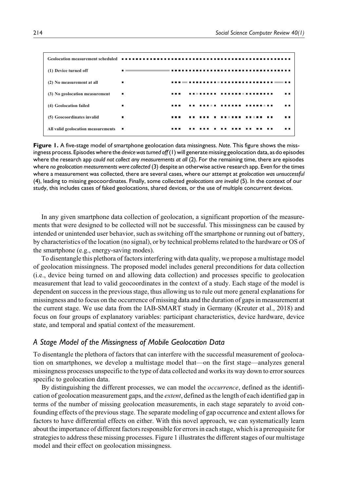| <b>Geolocation measurement scheduled</b> | .              |              | ------------------------ |         |            |
|------------------------------------------|----------------|--------------|--------------------------|---------|------------|
| (1) Device turned off                    | п              |              |                          |         |            |
| (2) No measurement at all                | $\blacksquare$ |              |                          |         |            |
| (3) No geolocation measurement           | п              | <b>ALC N</b> |                          |         | .<br>пπ    |
| (4) Geolocation failed                   | п              | .            | 医血管下垂                    | ------- | пr.        |
| (5) Geocoordinates invalid               | п              | .            | . .<br><b>ALC: YES</b>   |         | m m<br>п п |
| All valid geolocation measurements       | п              | .            |                          |         | m m<br>п п |

Figure 1. A five-stage model of smartphone geolocation data missingness. Note. This figure shows the missingness process. Episodes where the device was turned off $(1)$  will generate missing geolocation data, as do episodes where the research app could not collect any measurements at all (2). For the remaining time, there are episodes where no geolocation measurements were collected (3) despite an otherwise active research app. Even for the times where a measurement was collected, there are several cases, where our attempt at geolocation was unsuccessful (4), leading to missing geocoordinates. Finally, some collected geolocations are invalid (5). In the context of our study, this includes cases of faked geolocations, shared devices, or the use of multiple concurrent devices.

In any given smartphone data collection of geolocation, a significant proportion of the measurements that were designed to be collected will not be successful. This missingness can be caused by intended or unintended user behavior, such as switching off the smartphone or running out of battery, by characteristics of the location (no signal), or by technical problems related to the hardware or OS of the smartphone (e.g., energy-saving modes).

To disentangle this plethora of factors interfering with data quality, we propose a multistage model of geolocation missingness. The proposed model includes general preconditions for data collection (i.e., device being turned on and allowing data collection) and processes specific to geolocation measurement that lead to valid geocoordinates in the context of a study. Each stage of the model is dependent on success in the previous stage, thus allowing us to rule out more general explanations for missingness and to focus on the occurrence of missing data and the duration of gaps in measurement at the current stage. We use data from the IAB-SMART study in Germany (Kreuter et al., 2018) and focus on four groups of explanatory variables: participant characteristics, device hardware, device state, and temporal and spatial context of the measurement.

### A Stage Model of the Missingness of Mobile Geolocation Data

To disentangle the plethora of factors that can interfere with the successful measurement of geolocation on smartphones, we develop a multistage model that—on the first stage—analyzes general missingness processes unspecific to the type of data collected and works its way down to error sources specific to geolocation data.

By distinguishing the different processes, we can model the *occurrence*, defined as the identification of geolocation measurement gaps, and the *extent*, defined as the length of each identified gap in terms of the number of missing geolocation measurements, in each stage separately to avoid confounding effects of the previous stage. The separate modeling of gap occurrence and extent allows for factors to have differential effects on either. With this novel approach, we can systematically learn about the importance of different factors responsible for errors in each stage, which is a prerequisite for strategies to address these missing processes. Figure 1 illustrates the different stages of our multistage model and their effect on geolocation missingness.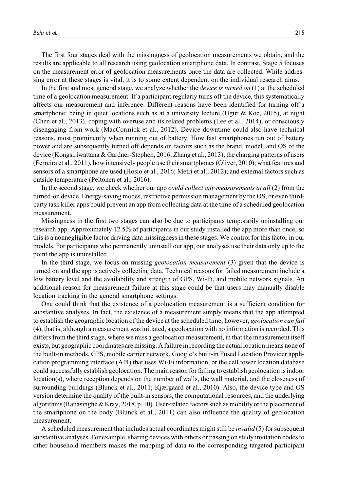The first four stages deal with the missingness of geolocation measurements we obtain, and the results are applicable to all research using geolocation smartphone data. In contrast, Stage 5 focuses on the measurement error of geolocation measurements once the data are collected. While addressing error at these stages is vital, it is to some extent dependent on the individual research aims.

In the first and most general stage, we analyze whether the *device is turned on*  $(1)$  at the scheduled time of a geolocation measurement. If a participant regularly turns off the device, this systematically affects our measurement and inference. Different reasons have been identified for turning off a smartphone: being in quiet locations such as at a university lecture (Ugur  $\&$  Koc, 2015), at night (Chen et al., 2013), coping with overuse and its related problems (Lee et al., 2014), or consciously disengaging from work (MacCormick et al., 2012). Device downtime could also have technical reasons, most prominently when running out of battery. How fast smartphones run out of battery power and are subsequently turned off depends on factors such as the brand, model, and OS of the device (Kongsiriwattana & Gardner-Stephen, 2016; Zhang et al., 2013); the charging patterns of users (Ferreira et al., 2011), how intensively people use their smartphones (Oliver, 2010); what features and sensors of a smartphone are used (Hosio et al., 2016; Metri et al., 2012); and external factors such as outside temperature (Peltonen et al., 2016).

In the second stage, we check whether our app *could collect any measurements at all* (2) from the turned-on device. Energy-saving modes, restrictive permission management by the OS, or even thirdparty task killer apps could prevent an app from collecting data at the time of a scheduled geolocation measurement.

Missingness in the first two stages can also be due to participants temporarily uninstalling our research app. Approximately 12.5% of participants in our study installed the app more than once, so this is a nonnegligible factor driving data missingness in these stages. We control for this factor in our models. For participants who permanently uninstall our app, our analyses use their data only up to the point the app is uninstalled.

In the third stage, we focus on missing *geolocation measurement* (3) given that the device is turned on and the app is actively collecting data. Technical reasons for failed measurement include a low battery level and the availability and strength of GPS, Wi-Fi, and mobile network signals. An additional reason for measurement failure at this stage could be that users may manually disable location tracking in the general smartphone settings.

One could think that the existence of a geolocation measurement is a sufficient condition for substantive analyses. In fact, the existence of a measurement simply means that the app attempted to establish the geographic location of the device at the scheduled time; however, geolocation can fail (4), that is, although a measurement was initiated, a geolocation with no information is recorded. This differs from the third stage, where we miss a geolocation measurement, in that the measurement itself exists, but geographic coordinates are missing. A failure in recording the actual location means none of the built-in methods, GPS, mobile carrier network, Google's built-in Fused Location Provider application programming interface (API) that uses Wi-Fi information, or the cell tower location database could successfully establish geolocation. The main reason for failing to establish geolocation is indoor location(s), where reception depends on the number of walls, the wall material, and the closeness of surrounding buildings (Blunck et al., 2011; Kjærgaard et al., 2010). Also, the device type and OS version determine the quality of the built-in sensors, the computational resources, and the underlying algorithms (Ranasinghe & Kray, 2018, p. 10). User-related factors such as mobility or the placement of the smartphone on the body (Blunck et al., 2011) can also influence the quality of geolocation measurement.

A scheduled measurement that includes actual coordinates might still be *invalid*  $(5)$  for subsequent substantive analyses. For example, sharing devices with others or passing on study invitation codes to other household members makes the mapping of data to the corresponding targeted participant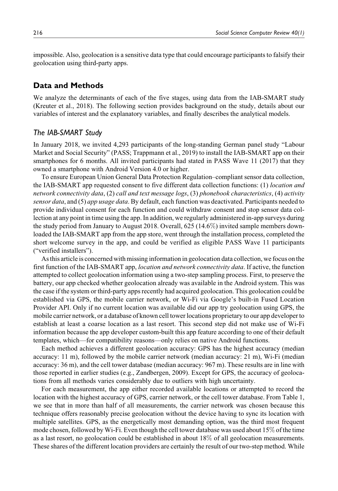impossible. Also, geolocation is a sensitive data type that could encourage participants to falsify their geolocation using third-party apps.

## Data and Methods

We analyze the determinants of each of the five stages, using data from the IAB-SMART study (Kreuter et al., 2018). The following section provides background on the study, details about our variables of interest and the explanatory variables, and finally describes the analytical models.

## The IAB-SMART Study

In January 2018, we invited 4,293 participants of the long-standing German panel study "Labour Market and Social Security" (PASS; Trappmann et al., 2019) to install the IAB-SMART app on their smartphones for 6 months. All invited participants had stated in PASS Wave 11 (2017) that they owned a smartphone with Android Version 4.0 or higher.

To ensure European Union General Data Protection Regulation–compliant sensor data collection, the IAB-SMART app requested consent to five different data collection functions: (1) location and network connectivity data, (2) call and text message logs, (3) phonebook characteristics, (4) activity sensor data, and (5) app usage data. By default, each function was deactivated. Participants needed to provide individual consent for each function and could withdraw consent and stop sensor data collection at any point in time using the app. In addition, we regularly administered in-app surveys during the study period from January to August 2018. Overall, 625 (14.6%) invited sample members downloaded the IAB-SMART app from the app store, went through the installation process, completed the short welcome survey in the app, and could be verified as eligible PASS Wave 11 participants ("verified installers").

As this article is concerned with missing information in geolocation data collection, we focus on the first function of the IAB-SMART app, location and network connectivity data. If active, the function attempted to collect geolocation information using a two-step sampling process. First, to preserve the battery, our app checked whether geolocation already was available in the Android system. This was the case if the system or third-party apps recently had acquired geolocation. This geolocation could be established via GPS, the mobile carrier network, or Wi-Fi via Google's built-in Fused Location Provider API. Only if no current location was available did our app try geolocation using GPS, the mobile carrier network, or a database of known cell tower locations proprietary to our app developer to establish at least a coarse location as a last resort. This second step did not make use of Wi-Fi information because the app developer custom-built this app feature according to one of their default templates, which—for compatibility reasons—only relies on native Android functions.

Each method achieves a different geolocation accuracy: GPS has the highest accuracy (median accuracy: 11 m), followed by the mobile carrier network (median accuracy: 21 m), Wi-Fi (median accuracy: 36 m), and the cell tower database (median accuracy: 967 m). These results are in line with those reported in earlier studies (e.g., Zandbergen, 2009). Except for GPS, the accuracy of geolocations from all methods varies considerably due to outliers with high uncertainty.

For each measurement, the app either recorded available locations or attempted to record the location with the highest accuracy of GPS, carrier network, or the cell tower database. From Table 1, we see that in more than half of all measurements, the carrier network was chosen because this technique offers reasonably precise geolocation without the device having to sync its location with multiple satellites. GPS, as the energetically most demanding option, was the third most frequent mode chosen, followed by Wi-Fi. Even though the cell tower database was used about 15% of the time as a last resort, no geolocation could be established in about 18% of all geolocation measurements. These shares of the different location providers are certainly the result of our two-step method. While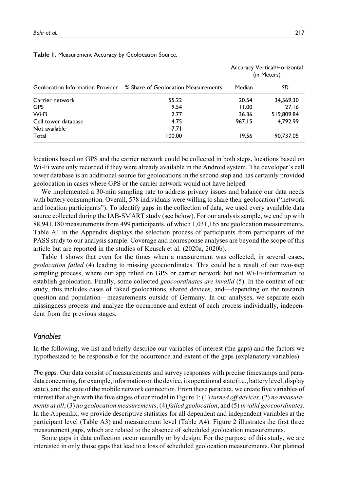|                 |                                                                      |        | Accuracy Vertical/Horizontal<br>(in Meters) |
|-----------------|----------------------------------------------------------------------|--------|---------------------------------------------|
|                 | Geolocation Information Provider % Share of Geolocation Measurements | Median | SD                                          |
| Carrier network | 55.22                                                                | 20.54  | 34,569.30                                   |
| <b>GPS</b>      | 9.54                                                                 | 11.00  | 27.16                                       |

Table 1. Measurement Accuracy by Geolocation Source.

locations based on GPS and the carrier network could be collected in both steps, locations based on Wi-Fi were only recorded if they were already available in the Android system. The developer's cell tower database is an additional source for geolocations in the second step and has certainly provided geolocation in cases where GPS or the carrier network would not have helped.

Wi-Fi 2.77 36.36 519,809.84 Cell tower database 14.75 967.15 4,792.99 Not available  $\qquad \qquad$  17.71  $\qquad \qquad$   $\qquad \qquad$ Total 100.00 19.56 90,737.05

We implemented a 30-min sampling rate to address privacy issues and balance our data needs with battery consumption. Overall, 578 individuals were willing to share their geolocation ("network") and location participants"). To identify gaps in the collection of data, we used every available data source collected during the IAB-SMART study (see below). For our analysis sample, we end up with 88,941,180 measurements from 499 participants, of which 1,031,165 are geolocation measurements. Table A1 in the Appendix displays the selection process of participants from participants of the PASS study to our analysis sample. Coverage and nonresponse analyses are beyond the scope of this article but are reported in the studies of Keusch et al. (2020a, 2020b).

Table 1 shows that even for the times when a measurement was collected, in several cases, geolocation failed (4) leading to missing geocoordinates. This could be a result of our two-step sampling process, where our app relied on GPS or carrier network but not Wi-Fi-information to establish geolocation. Finally, some collected *geocoordinates are invalid* (5). In the context of our study, this includes cases of faked geolocations, shared devices, and—depending on the research question and population—measurements outside of Germany. In our analyses, we separate each missingness process and analyze the occurrence and extent of each process individually, independent from the previous stages.

#### Variables

In the following, we list and briefly describe our variables of interest (the gaps) and the factors we hypothesized to be responsible for the occurrence and extent of the gaps (explanatory variables).

The gaps. Our data consist of measurements and survey responses with precise timestamps and paradata concerning, for example, information on the device, its operational state (i.e., battery level, display state), and the state of the mobile network connection. From these paradata, we create five variables of interest that align with the five stages of our model in Figure 1: (1) turned off devices, (2) no measurements at all, (3) no geolocation measurements, (4) failed geolocation, and (5) invalid geocoordinates. In the Appendix, we provide descriptive statistics for all dependent and independent variables at the participant level (Table A3) and measurement level (Table A4). Figure 2 illustrates the first three measurement gaps, which are related to the absence of scheduled geolocation measurements.

Some gaps in data collection occur naturally or by design. For the purpose of this study, we are interested in only those gaps that lead to a loss of scheduled geolocation measurements. Our planned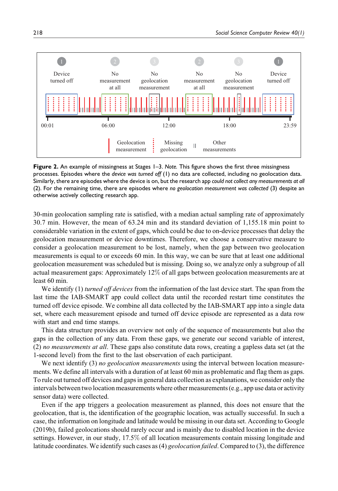

Figure 2. An example of missingness at Stages 1–3. Note. This figure shows the first three missingness processes. Episodes where the device was turned off (1) no data are collected, including no geolocation data. Similarly, there are episodes where the device is on, but the research app could not collect any measurements at all (2). For the remaining time, there are episodes where no geolocation measurement was collected (3) despite an otherwise actively collecting research app.

30-min geolocation sampling rate is satisfied, with a median actual sampling rate of approximately 30.7 min. However, the mean of 63.24 min and its standard deviation of 1,155.18 min point to considerable variation in the extent of gaps, which could be due to on-device processes that delay the geolocation measurement or device downtimes. Therefore, we choose a conservative measure to consider a geolocation measurement to be lost, namely, when the gap between two geolocation measurements is equal to or exceeds 60 min. In this way, we can be sure that at least one additional geolocation measurement was scheduled but is missing. Doing so, we analyze only a subgroup of all actual measurement gaps: Approximately 12% of all gaps between geolocation measurements are at least 60 min.

We identify  $(1)$  turned off devices from the information of the last device start. The span from the last time the IAB-SMART app could collect data until the recorded restart time constitutes the turned off device episode. We combine all data collected by the IAB-SMART app into a single data set, where each measurement episode and turned off device episode are represented as a data row with start and end time stamps.

This data structure provides an overview not only of the sequence of measurements but also the gaps in the collection of any data. From these gaps, we generate our second variable of interest, (2) no measurements at all. These gaps also constitute data rows, creating a gapless data set (at the 1-second level) from the first to the last observation of each participant.

We next identify (3) no geolocation measurements using the interval between location measurements. We define all intervals with a duration of at least 60 min as problematic and flag them as gaps. To rule out turned off devices and gaps in general data collection as explanations, we consider only the intervals between two location measurements where other measurements (e.g., app use data or activity sensor data) were collected.

Even if the app triggers a geolocation measurement as planned, this does not ensure that the geolocation, that is, the identification of the geographic location, was actually successful. In such a case, the information on longitude and latitude would be missing in our data set. According to Google (2019b), failed geolocations should rarely occur and is mainly due to disabled location in the device settings. However, in our study, 17.5% of all location measurements contain missing longitude and latitude coordinates. We identify such cases as (4) geolocation failed. Compared to (3), the difference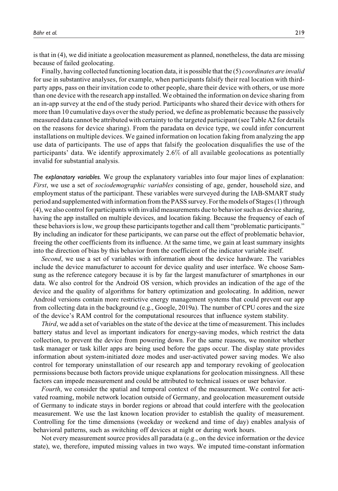is that in (4), we did initiate a geolocation measurement as planned, nonetheless, the data are missing because of failed geolocating.

Finally, having collected functioning location data, it is possible that the  $(5)$  *coordinates are invalid* for use in substantive analyses, for example, when participants falsify their real location with thirdparty apps, pass on their invitation code to other people, share their device with others, or use more than one device with the research app installed. We obtained the information on device sharing from an in-app survey at the end of the study period. Participants who shared their device with others for more than 10 cumulative days over the study period, we define as problematic because the passively measured data cannot be attributed with certainty to the targeted participant (see Table A2 for details on the reasons for device sharing). From the paradata on device type, we could infer concurrent installations on multiple devices. We gained information on location faking from analyzing the app use data of participants. The use of apps that falsify the geolocation disqualifies the use of the participants' data. We identify approximately 2.6% of all available geolocations as potentially invalid for substantial analysis.

The explanatory variables. We group the explanatory variables into four major lines of explanation: First, we use a set of sociodemographic variables consisting of age, gender, household size, and employment status of the participant. These variables were surveyed during the IAB-SMART study period and supplemented with information from the PASS survey. For the models of Stages (1) through (4), we also control for participants with invalid measurements due to behavior such as device sharing, having the app installed on multiple devices, and location faking. Because the frequency of each of these behaviors is low, we group these participants together and call them "problematic participants." By including an indicator for these participants, we can parse out the effect of problematic behavior, freeing the other coefficients from its influence. At the same time, we gain at least summary insights into the direction of bias by this behavior from the coefficient of the indicator variable itself.

Second, we use a set of variables with information about the device hardware. The variables include the device manufacturer to account for device quality and user interface. We choose Samsung as the reference category because it is by far the largest manufacturer of smartphones in our data. We also control for the Android OS version, which provides an indication of the age of the device and the quality of algorithms for battery optimization and geolocating. In addition, newer Android versions contain more restrictive energy management systems that could prevent our app from collecting data in the background (e.g., Google, 2019a). The number of CPU cores and the size of the device's RAM control for the computational resources that influence system stability.

Third, we add a set of variables on the state of the device at the time of measurement. This includes battery status and level as important indicators for energy-saving modes, which restrict the data collection, to prevent the device from powering down. For the same reasons, we monitor whether task manager or task killer apps are being used before the gaps occur. The display state provides information about system-initiated doze modes and user-activated power saving modes. We also control for temporary uninstallation of our research app and temporary revoking of geolocation permissions because both factors provide unique explanations for geolocation missingness. All these factors can impede measurement and could be attributed to technical issues or user behavior.

Fourth, we consider the spatial and temporal context of the measurement. We control for activated roaming, mobile network location outside of Germany, and geolocation measurement outside of Germany to indicate stays in border regions or abroad that could interfere with the geolocation measurement. We use the last known location provider to establish the quality of measurement. Controlling for the time dimensions (weekday or weekend and time of day) enables analysis of behavioral patterns, such as switching off devices at night or during work hours.

Not every measurement source provides all paradata (e.g., on the device information or the device state), we, therefore, imputed missing values in two ways. We imputed time-constant information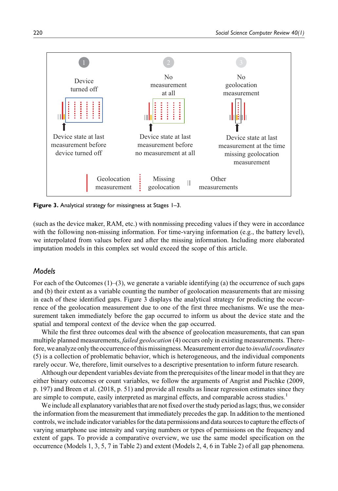

Figure 3. Analytical strategy for missingness at Stages 1–3.

(such as the device maker, RAM, etc.) with nonmissing preceding values if they were in accordance with the following non-missing information. For time-varying information (e.g., the battery level), we interpolated from values before and after the missing information. Including more elaborated imputation models in this complex set would exceed the scope of this article.

#### Models

For each of the Outcomes (1)–(3), we generate a variable identifying (a) the occurrence of such gaps and (b) their extent as a variable counting the number of geolocation measurements that are missing in each of these identified gaps. Figure 3 displays the analytical strategy for predicting the occurrence of the geolocation measurement due to one of the first three mechanisms. We use the measurement taken immediately before the gap occurred to inform us about the device state and the spatial and temporal context of the device when the gap occurred.

While the first three outcomes deal with the absence of geolocation measurements, that can span multiple planned measurements, *failed geolocation* (4) occurs only in existing measurements. Therefore, we analyze only the occurrence of this missingness. Measurement error due to *invalid coordinates* (5) is a collection of problematic behavior, which is heterogeneous, and the individual components rarely occur. We, therefore, limit ourselves to a descriptive presentation to inform future research.

Although our dependent variables deviate from the prerequisites of the linear model in that they are either binary outcomes or count variables, we follow the arguments of Angrist and Pischke (2009, p. 197) and Breen et al. (2018, p. 51) and provide all results as linear regression estimates since they are simple to compute, easily interpreted as marginal effects, and comparable across studies.<sup>1</sup>

We include all explanatory variables that are not fixed over the study period as lags; thus, we consider the information from the measurement that immediately precedes the gap. In addition to the mentioned controls, we include indicator variables for the data permissions and data sources to capture the effects of varying smartphone use intensity and varying numbers or types of permissions on the frequency and extent of gaps. To provide a comparative overview, we use the same model specification on the occurrence (Models 1, 3, 5, 7 in Table 2) and extent (Models 2, 4, 6 in Table 2) of all gap phenomena.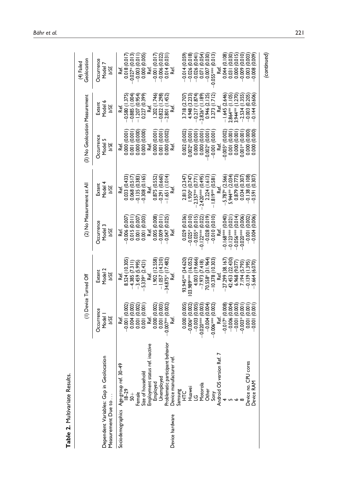| Table 2. Multivariate Results. |                                                                                                                                                                                                                                                                                                                                                         |                                                                                                                                                                                                                                                                                                                                                                                                                    |                                                                                                                                                                                                                                                                                                                                                                                                                               |                                                                                                                                                                                                                                                                                                                                                                                                                |                                                                                                                                                                                                                                                                                                                                                                                                       |                                                                                                                                                                                                                                                                                                                                                                                    |                                                                                                                                                                                                                                                                                                                                                                                                                                 |                                                                                                                                                                                                                                                                                                                                                                                                                                              |
|--------------------------------|---------------------------------------------------------------------------------------------------------------------------------------------------------------------------------------------------------------------------------------------------------------------------------------------------------------------------------------------------------|--------------------------------------------------------------------------------------------------------------------------------------------------------------------------------------------------------------------------------------------------------------------------------------------------------------------------------------------------------------------------------------------------------------------|-------------------------------------------------------------------------------------------------------------------------------------------------------------------------------------------------------------------------------------------------------------------------------------------------------------------------------------------------------------------------------------------------------------------------------|----------------------------------------------------------------------------------------------------------------------------------------------------------------------------------------------------------------------------------------------------------------------------------------------------------------------------------------------------------------------------------------------------------------|-------------------------------------------------------------------------------------------------------------------------------------------------------------------------------------------------------------------------------------------------------------------------------------------------------------------------------------------------------------------------------------------------------|------------------------------------------------------------------------------------------------------------------------------------------------------------------------------------------------------------------------------------------------------------------------------------------------------------------------------------------------------------------------------------|---------------------------------------------------------------------------------------------------------------------------------------------------------------------------------------------------------------------------------------------------------------------------------------------------------------------------------------------------------------------------------------------------------------------------------|----------------------------------------------------------------------------------------------------------------------------------------------------------------------------------------------------------------------------------------------------------------------------------------------------------------------------------------------------------------------------------------------------------------------------------------------|
|                                |                                                                                                                                                                                                                                                                                                                                                         |                                                                                                                                                                                                                                                                                                                                                                                                                    | (1) Device Turned Off                                                                                                                                                                                                                                                                                                                                                                                                         |                                                                                                                                                                                                                                                                                                                                                                                                                | (2) No Measurement at All                                                                                                                                                                                                                                                                                                                                                                             | 3) No Geolocation Measurement                                                                                                                                                                                                                                                                                                                                                      |                                                                                                                                                                                                                                                                                                                                                                                                                                 | Geolocation<br>(4) Failed                                                                                                                                                                                                                                                                                                                                                                                                                    |
| Measurement Due to             | Dependent Variables: Gap in Geolocation                                                                                                                                                                                                                                                                                                                 | Occurrence<br>Model<br><b>ASC</b>                                                                                                                                                                                                                                                                                                                                                                                  | Extent<br>Model 2<br>D/SE                                                                                                                                                                                                                                                                                                                                                                                                     | Occurrence<br>Model 3<br>P\SE                                                                                                                                                                                                                                                                                                                                                                                  | Model 4<br>Extent<br>P\2E                                                                                                                                                                                                                                                                                                                                                                             | Occurrence<br>Model 5<br><b>ASR</b>                                                                                                                                                                                                                                                                                                                                                | Model 6<br>Extent<br>PISE                                                                                                                                                                                                                                                                                                                                                                                                       | Occurrence<br>Model 7<br><b>ASC</b>                                                                                                                                                                                                                                                                                                                                                                                                          |
| Device hardware                | Employment status ref. inactive<br>Employed<br>Unemployed<br>Problematic participant behavior<br>Android OS version Ref.<br>Device manufacturer ref.<br>Device no. CPU cores<br>Sociodemographics Age-group ref. 30–49<br>18–29<br>Size of household<br>Device RAM<br>Samsung<br>HTC<br>Huawei<br>LG Coter<br>Motorola<br>Other<br>Sony<br>Female<br>\$ | $-0.007***00.002$<br>(0.002)<br>$-0.006$ $(0.004)$<br>0.004(0.003)<br>0.001 (0.002)<br>0.000 (0.002)<br>0.001 (0.003)<br>0.000 (0.005)<br>(0.005)<br>(0.003)<br>$-0.004$ (0.004)<br>$-0.006***00.002$<br>$-0.017*0.008$<br>$-0.001$ (0.003)<br>$-0.001$ (0.002)<br>0.001 (0.001<br>(0.001)<br>0.001 (0.001<br>$-0.003 * 0.001$<br>$-0.006*$<br>$-0.003$<br>$-0.020***$<br>Ref.<br>Ref.<br>Ref.<br>$-0.001$<br>Ref. | 1.902 (12.558)<br>$34.875*$ (17.482)<br>70.558* (31.964)<br>$-10.378(10.303)$<br>42.453 (22.430)<br>8.524 (10.305)<br>(16.052)<br>(19.666)<br>27.299 (38.167<br>$-1.057(14.210)$<br>93.945** (34.620)<br>$4.003(19.666)$<br>-7.973 (7.418)<br>$-3.459(5.995)$<br>(1.395)<br>$-4.385(7.311)$<br>6.968 (9.077)<br>7.194 (5.793)<br>5.664 (6.070)<br>$-5.339* (2.421)$<br>Ref.<br>103.989***<br>Ref.<br>$-0.139$<br>Ref.<br>Ref. | 0.029 (0.036)<br>$-0.025* (0.010)$<br>$-0.035*$ (0.015)<br>$-0.122***$ $(0.022)$<br>$-0.028(0.019)$<br>0.005 (0.008)<br>$-0.047(0.025)$<br>$-0.010(0.010)$<br>$-0.168$ $*2.00$<br>$-0.056***$ $(0.014)$<br>$-0.020***00000$<br>$-0.004(0.006)$<br>0.001 (0.003)<br>$-0.001$ $(0.002)$<br>$-0.009$ (0.011)<br>0.006(0.007<br>0.015 (0.011<br>0.001 (0.007<br>$-0.123***$ (0.021<br>Ref.<br>Ref.<br>Ref.<br>Ref. | 5.787* (2.566)<br>$5.944** (2.034)$<br>$-0.138(0.108)$<br>0.875 (0.552)<br>$-0.291(0.660)$<br>(1.014)<br>0.879 (0.773)<br>0.033 (0.433)<br>0.068(0.517)<br>0.135(0.383)<br>0.308(0.165<br>(1.613)<br>0.034(0.307)<br>(0.307)<br>1.930* (0.747<br>$2.420***$ (0.495<br>$-1.819***$ (0.581<br>2.813 (2.347<br>$-2.357***$ (0.77)<br>Ref.<br>Ref.<br>Ref.<br>٦e<br>Ref<br>2.224(<br>$-1.651$<br>$-0.591$ | 0.000 (0.000<br>0.000 (0.002<br>$0.001 * 0.001$<br>$0.000 (0.000)$<br>0.000 (0.000<br>0.002 (0.002<br>$-0.005*00.002$<br>(0.000)<br>0.000 (0.001)<br>0.001 (0.001)<br>$0.002*00.001$<br>0.000 (0.001<br>0.000 (0.001<br>(0.001)<br>0.001 (0.001<br>0.000 (0.001<br>0.00   0.00<br>0.000 (0.001<br>$\overline{0}$<br>$-0.002*$<br>0.000<br>Ref.<br>Ref.<br>Ref.<br>Ref.<br>$-0.001$ | 1.202 (1.746)<br>0.227 (0.399)<br>1.298<br>(2.125)<br>(1.712)<br>$-1.645(2.646)$<br>$\overline{1.105}$<br>$-0.003$ (0.205)<br>$-0.580(1.375)$<br>(1.004)<br>$-1.207(0.954)$<br>(1.452)<br>4.948 (3.233)<br>1.874<br>l.189)<br>(1.355)<br>$-0.144(0.606)$<br>3.718 (2.707<br>1.270<br>Ref.<br>$-0.885$<br>Ref.<br>$-2.801($<br>(946)<br>3.273 (<br>Ref.<br>$-0.822$<br>$2.826*$<br>$-0.217$<br>$-2.534($<br>$2.864**$<br>3.944** | $\begin{array}{c} 0.000 & (0.015) \\ -0.009 & (0.010) \end{array}$<br>0.003 (0.003)<br>(0.009)<br>0.000 (0.005<br>$-0.014(0.059)$<br>$-0.026(0.018)$<br>(0.013)<br>0.044 (0.108)<br>0.031 (0.030)<br>$0.027*00.013$<br>(0.022)<br>$(0.041)$<br>$(0.054)$<br>(0.030)<br>0.018 (0.017<br>$-0.001$ (0.0-1<br>0.014(0.03)<br>$-0.003$ (0.01)<br>$-0.006$<br>$-0.007$<br>$0.05***$<br>$-0.026$<br>0.071(<br>0.008<br>Ref.<br>Ref.<br>Ref.<br>Ref. |
|                                |                                                                                                                                                                                                                                                                                                                                                         |                                                                                                                                                                                                                                                                                                                                                                                                                    |                                                                                                                                                                                                                                                                                                                                                                                                                               |                                                                                                                                                                                                                                                                                                                                                                                                                |                                                                                                                                                                                                                                                                                                                                                                                                       |                                                                                                                                                                                                                                                                                                                                                                                    |                                                                                                                                                                                                                                                                                                                                                                                                                                 | (continued)                                                                                                                                                                                                                                                                                                                                                                                                                                  |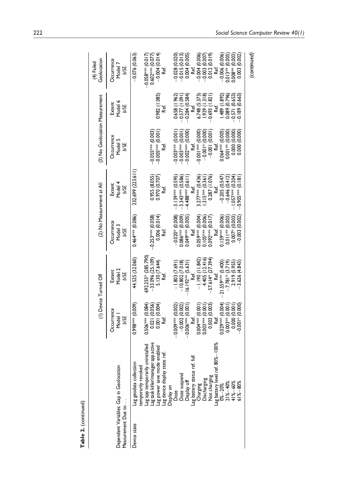| Table 2. (continued) |                                                                                                                                                               |                                                                      |                                                                   |                                                                       |                                                                 |                                                                                 |                                                        |                                                                                                        |
|----------------------|---------------------------------------------------------------------------------------------------------------------------------------------------------------|----------------------------------------------------------------------|-------------------------------------------------------------------|-----------------------------------------------------------------------|-----------------------------------------------------------------|---------------------------------------------------------------------------------|--------------------------------------------------------|--------------------------------------------------------------------------------------------------------|
|                      |                                                                                                                                                               |                                                                      | (I) Device Turned Off                                             |                                                                       | (2) No Measurement at All                                       | 3) No Geolocation Measurement                                                   |                                                        | Geolocation<br>(4) Failed                                                                              |
| leasurement Due to   | Dependent Variables: Gap in Geolocation                                                                                                                       | Occurrence<br>Model<br><b>ASC</b>                                    | Extent<br>Model 2<br>P\2E                                         | Occurrence<br>Model 3<br>ЫŒ                                           | Model 4<br>Extent<br><b>P/SE</b>                                | Occurrence<br>Model 5<br>ЫSE                                                    | Model 6<br>Extent<br><b>PISE</b>                       | Occurrence<br>Model 7<br><b>ASC</b>                                                                    |
| Device state         | Lag geodata collection<br>temporarily revoked                                                                                                                 | (60000)                                                              | 44.525 (32.060)                                                   | $0.464***$ (0.086)                                                    | 232.699 (223.6 II)                                              |                                                                                 |                                                        | $-0.076(0.063)$                                                                                        |
|                      | active<br>Lag app temporarily uninstalled<br>Lag task killer/manager app active<br>Lag power save mode enabled<br>Lag device display state ref.               | $0.506***$ (0.084)<br>0.021 (0.056)<br>0.001 (0.004)<br>Ref.         | 692.253* (285.790)<br>$-33.096(25.109)$<br>5.130 (7.644)<br>٦e.   | 0.006(0.014)<br>$-0.253***$ (0.058)<br>Ref.                           | 0.955 (8.055)<br>0.970 (0.707)<br>٦e.                           | $-0.055***(0.003)$<br>$-0.005***0.001)$<br>Ref.                                 | 0.982(1.085)<br>.<br>مخ                                | $-0.004(0.014)$<br>$-0.058***00.017$<br>$0.602***$ $(0.077)$                                           |
|                      | Display on<br>Doze                                                                                                                                            | $-0.009***0.002)$<br>$-0.002(0.002)$<br>$-0.006$ **** $(0.001$       | $-1.803(7.691)$<br>$-10.802(7.018)$<br>$16.192**$ (5.631)         | $-0.020^{*}(0.008)$<br>$0.086***$ (0.009)<br>$0.005$ ( $0.005$ )      | $-3.139*** (0.595)$<br>$-3.343***$ (0.586)<br>$-4.488***$ (0.61 | $-0.002***$ (0.000)<br>$0.003***$ (0.001<br>$-0.003***$ (0.001                  | $0.658(1.962)$<br>$-0.577(1.091)$<br>0.284(0.584)      | (0.028)(0.020)<br>$-0.015(0.013)$<br>0.004(0.005)                                                      |
|                      | Doze suspend<br>Lag battery status ref. full<br>Lag battery status ref. full<br>Discharging<br>Discharging<br>Not charging<br>$0\%-20\%$<br>20%<br>20%<br>20% | (0.003)(0.003)<br>$0.004***$ $(0.001)$<br>0.003*** $(0.001)$<br>Ref. | $-57.614* (27.394)$<br>$-1.190(11.842)$<br>4.405 (12.416)<br>kef. | $0.05$ <sup>***</sup> (0.004)<br>$0.105***$ $(0.006)$<br>0.0017<br>٦e | $3.277*** (0.436)$<br>0.287(1.076)<br>315*** (0.361<br>Ref.     | $-0.001$ *** $-0.000$<br>$-0.001*00.000$<br>$-0.001$ (0.001<br>Ref.             | 6.748 (5.373)<br>1.929 (1.318)<br>0.693 (1.821<br>kef. | $\begin{array}{c} -0.003~(0.007)\ 0.012~(0.019)\ \mathsf{Ref.} \end{array}$<br>$-0.004(0.006)$<br>Ref. |
|                      | $-100\%$                                                                                                                                                      | $0.029***$ $(0.004)$<br>$0.003**$ $(0.001)$<br>Ref.                  | $-21.559***$ (5.400)<br>$-7.781*$ (3.719)<br>Ref.                 | $0.159*** (0.006)$<br>$0.011**$ (0.003)<br>kef,                       | $-0.205(0.547)$<br>$-0.646(0.412)$<br>Ref.                      | $0.064***$ (0.005)<br>Ref.                                                      | 489 (1.892)<br>0.089 (0.796)<br>Ref.                   | $\begin{array}{c} -0.006 & (0.006) \\ 0.013** & (0.005) \end{array}$                                   |
|                      |                                                                                                                                                               | $-0.001* (0.000)$<br>0.000 (0.001                                    | 2.919 (5.955)<br>$-3.626(4.843)$                                  | $0.007* (0.003)$<br>0.003(0.002)                                      | $1.057***(0.204)$<br>$-0.905***$ (0.181                         | $\begin{array}{c} 0.001** (0.000)\ 0.000 (0.0000)\ 0.000 (0.0000)\ \end{array}$ | $-0.571(0.653)$<br>$-0.189(0.663)$                     | (0.002)<br>$0.008** (0.003)$<br>0.003                                                                  |
|                      |                                                                                                                                                               |                                                                      |                                                                   |                                                                       |                                                                 |                                                                                 |                                                        | (continued)                                                                                            |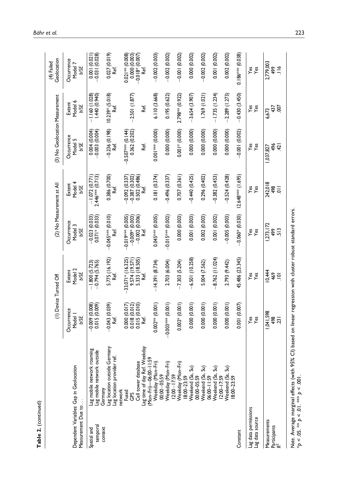|                                                |                                                                                     |                                                                                          | (I) Device Turned Off                                         |                                                                   | (2) No Measurement at All                                     | (3) No Geolocation Measurement               |                                   | Geolocation<br>(4) Failed                                       |
|------------------------------------------------|-------------------------------------------------------------------------------------|------------------------------------------------------------------------------------------|---------------------------------------------------------------|-------------------------------------------------------------------|---------------------------------------------------------------|----------------------------------------------|-----------------------------------|-----------------------------------------------------------------|
| Measurement Due to                             | Dependent Variables: Gap in Geolocation                                             | Occurrence<br>Model I<br><b>B/SE</b>                                                     | Model 2<br>Extent<br><b>B/SE</b>                              | Occurrence<br>Model 3<br><b>BYSE</b>                              | Model 4<br>Extent<br>P/S                                      | Occurrence<br>Model 5<br><b>ASE</b>          | Model 6<br>Extent<br><b>b/SE</b>  | Occurrence<br>Model 7<br><b>ASE</b>                             |
| temporal<br>Spatial and                        | Lag mobile network roaming<br>Lag mobile network outside<br>Lag mobile network roam | $-0.009$ (0.008)<br>(0.00.0) 900.0                                                       | $-1.800(5.723)$<br>$-0.794(5.765)$                            | $\begin{array}{c} -0.023\ (0.033) \\ 0.071* (0.033) \end{array}$  | $-1.072(0.771)$<br>2.446*** (0.713)                           | $0.004$ (0.004)<br>$-0.003$ (0.004)          | $-1.160(1.028)$<br>$1.440(0.940)$ | $\begin{array}{c} 0.001~(0.021) \\ -0.031~(0.028) \end{array}$  |
| context                                        | Lag location outside Germany<br>Lag location provider ref.<br>Germany               | $-0.043(0.039)$<br>Ref.                                                                  | 5.775 (16.192)<br><b>Ref</b>                                  | $-0.045***$ (0.010)<br>Ref.                                       | 0.386 (0.700)                                                 | $-0.236(0.198)$<br>Ref.                      | $10.23$ <sup>*</sup> (5.018)      | 0.027 (0.019)<br>Ref.                                           |
|                                                | kday<br>Lag time of day Ref. Weel<br>Cell tower database<br>network<br>Fused<br>δŠ  | $\begin{array}{c} 0.000\ (0.017)\\ 0.018\ (0.012)\\ 0.015\ (0.010)\ \end{array}$<br>Ref. | 9.574 (19.571)<br>5.333 (18.505)<br>33.07  * (16.325)<br>Ref. | $-0.002(0.006)$<br>$-0.019*** (0.005)$<br>$-0.009*00.003$<br>Ref. | 0.502 (0.486)<br>$-0.092$ (0.337)<br>$-0.387$ (0.302)<br>kef. | 0.362 (0.202)<br>$-0.507***$ (0.144)<br>Ref. | $-2.501(1.877)$<br>Ref.           | $-0.018$ $(0.007)$<br>$0.021**$ (0.008)<br>0.000(0.003)<br>Ref. |
|                                                | $(Mon-Fri) - 06:00 - 11:59$<br>Weekday (Mon-Fri)<br>00:00-05:59                     | $0.002**$ (0.001)                                                                        | 14.391 (8.734)                                                | $0.045*** (0.005)$                                                | 0.181(0.374)                                                  | $0.001*** (0.000)$                           | 6.110(3.668)                      | $-0.002(0.003)$                                                 |
|                                                | Weekday (Mon-Fri)<br>12:00–17:59                                                    | $-0.003***00.001$                                                                        | 2.703 (6.004)                                                 | $-0.015***$ (0.002)                                               | $-0.496(0.337)$                                               | 0.000 (0.000)                                | 0.195 (0.622)                     | $-0.002(0.002)$                                                 |
|                                                | Weekday (Mon-Fri)<br>$18:00 - 23:59$                                                | $0.002* (0.001)$                                                                         | $-7.303(5.204)$                                               | 0.000 (0.003)                                                     | 0.707(0.361)                                                  | $0.001* (0.000)$                             | 2.798** (0.922)                   | $-0.001(0.002)$                                                 |
|                                                | Weekend (Sa, Su)<br>00:00-05:59                                                     | 0.000(0.001)                                                                             | 6.501(10.258)                                                 | 0.001 (0.003)                                                     | $-0.440(0.425)$                                               | 0.000 (0.000)                                | $-3.654(3.907)$                   | 0.000(0.002)                                                    |
|                                                | Weekend (Sa, Su)<br>06:00-11:59                                                     | 0.000(0.001)                                                                             | 5.004 (7.562)                                                 | 0.002 (0.003)                                                     | 0.296 (0.402)                                                 | 0.000 (0.000)                                | 1.769(1.021)                      | $-0.002(0.002)$                                                 |
|                                                | Weekend (Sa, Su)<br>12:00–17:59                                                     | 0.000(0.001)                                                                             | 8.762 (11.024)                                                | 0.001 (0.002)                                                     | $-0.382(0.453)$                                               | 0.000 (0.000)                                | $-1.735(1.234)$                   | 0.001 (0.002)                                                   |
|                                                | Weekend (Sa, Su)<br>18:00–23:59                                                     | 0.000(0.001)                                                                             | 2.793 (9.442)                                                 | $-0.005(0.003)$                                                   | $-0.524(0.428)$                                               | 0.000 (0.000)                                | $-2.289(1.273)$                   | 0.002(0.002)                                                    |
| Constant                                       |                                                                                     | 0.001 (0.007)                                                                            | 45.486 (23.345)                                               | $-0.060$ <sup>*</sup> (0.030)                                     | $12.648***$ (1.695)                                           | 0.001(0.002)                                 | $-0.430(3.450)$                   | $0.186*** (0.038)$                                              |
| Lag data permissions<br>Lag data source        |                                                                                     | Yes<br>Yes                                                                               | Yes<br>Yes                                                    | yes<br>Yes                                                        | Yes<br>Yes                                                    | Yes<br>Yes                                   | Yes<br>Yes                        | Yes<br>Yes                                                      |
| Measurements<br>Participants<br>R <sup>2</sup> |                                                                                     | 041,598<br>$\overline{23}$                                                               | 10,444<br>469<br>$\overline{a}$                               | ,273,172<br>513<br>\$6                                            | 242,018<br>498<br>$\overline{a}$                              | 496<br>421<br>1,037,827                      | 500<br>437<br>6,673               | 2,779,003<br>$\stackrel{6}{=}$<br>499                           |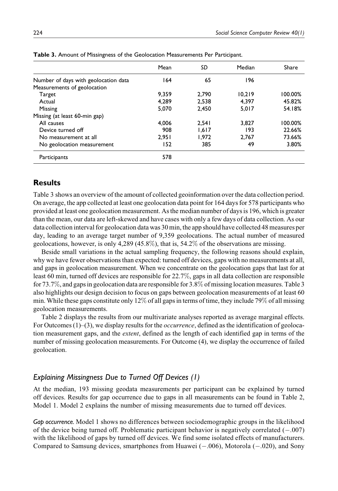|                                      | Mean  | SD    | Median | Share   |
|--------------------------------------|-------|-------|--------|---------|
| Number of days with geolocation data | 164   | 65    | 196    |         |
| Measurements of geolocation          |       |       |        |         |
| Target                               | 9.359 | 2.790 | 10.219 | 100.00% |
| Actual                               | 4.289 | 2.538 | 4.397  | 45.82%  |
| Missing                              | 5.070 | 2.450 | 5,017  | 54.18%  |
| Missing (at least 60-min gap)        |       |       |        |         |
| All causes                           | 4.006 | 2.541 | 3.827  | 100.00% |
| Device turned off                    | 908   | 1,617 | 193    | 22.66%  |
| No measurement at all                | 2.951 | 1.972 | 2.767  | 73.66%  |
| No geolocation measurement           | 152   | 385   | 49     | 3.80%   |
| Participants                         | 578   |       |        |         |
|                                      |       |       |        |         |

Table 3. Amount of Missingness of the Geolocation Measurements Per Participant.

## Results

Table 3 shows an overview of the amount of collected geoinformation over the data collection period. On average, the app collected at least one geolocation data point for 164 days for 578 participants who provided at least one geolocation measurement. As the median number of days is 196, which is greater than the mean, our data are left-skewed and have cases with only a few days of data collection. As our data collection interval for geolocation data was 30 min, the app should have collected 48 measures per day, leading to an average target number of 9,359 geolocations. The actual number of measured geolocations, however, is only 4,289 (45.8%), that is, 54.2% of the observations are missing.

Beside small variations in the actual sampling frequency, the following reasons should explain, why we have fewer observations than expected: turned off devices, gaps with no measurements at all, and gaps in geolocation measurement. When we concentrate on the geolocation gaps that last for at least 60 min, turned off devices are responsible for 22.7%, gaps in all data collection are responsible for 73.7%, and gaps in geolocation data are responsible for 3.8% of missing location measures. Table 3 also highlights our design decision to focus on gaps between geolocation measurements of at least 60 min. While these gaps constitute only 12% of all gaps in terms of time, they include 79% of all missing geolocation measurements.

Table 2 displays the results from our multivariate analyses reported as average marginal effects. For Outcomes  $(1)$ – $(3)$ , we display results for the *occurrence*, defined as the identification of geolocation measurement gaps, and the *extent*, defined as the length of each identified gap in terms of the number of missing geolocation measurements. For Outcome (4), we display the occurrence of failed geolocation.

## Explaining Missingness Due to Turned Off Devices (1)

At the median, 193 missing geodata measurements per participant can be explained by turned off devices. Results for gap occurrence due to gaps in all measurements can be found in Table 2, Model 1. Model 2 explains the number of missing measurements due to turned off devices.

Gap occurrence. Model 1 shows no differences between sociodemographic groups in the likelihood of the device being turned off. Problematic participant behavior is negatively correlated  $(-.007)$ with the likelihood of gaps by turned off devices. We find some isolated effects of manufacturers. Compared to Samsung devices, smartphones from Huawei  $(-.006)$ , Motorola  $(-.020)$ , and Sony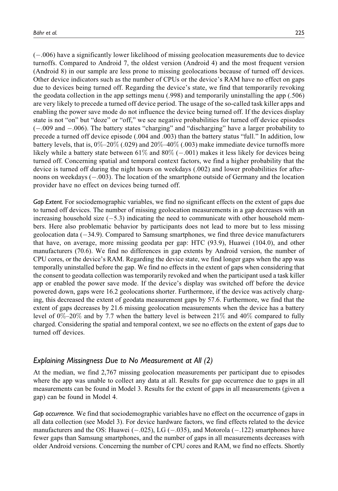$(-.006)$  have a significantly lower likelihood of missing geolocation measurements due to device turnoffs. Compared to Android 7, the oldest version (Android 4) and the most frequent version (Android 8) in our sample are less prone to missing geolocations because of turned off devices. Other device indicators such as the number of CPUs or the device's RAM have no effect on gaps due to devices being turned off. Regarding the device's state, we find that temporarily revoking the geodata collection in the app settings menu (.998) and temporarily uninstalling the app (.506) are very likely to precede a turned off device period. The usage of the so-called task killer apps and enabling the power save mode do not influence the device being turned off. If the devices display state is not "on" but "doze" or "off," we see negative probabilities for turned off device episodes  $(-.009$  and  $-.006)$ . The battery states "charging" and "discharging" have a larger probability to precede a turned off device episode (.004 and .003) than the battery status "full." In addition, low battery levels, that is,  $0\%-20\%$  (.029) and  $20\%-40\%$  (.003) make immediate device turnoffs more likely while a battery state between 61% and 80% ( $-.001$ ) makes it less likely for devices being turned off. Concerning spatial and temporal context factors, we find a higher probability that the device is turned off during the night hours on weekdays (.002) and lower probabilities for afternoons on weekdays  $(-.003)$ . The location of the smartphone outside of Germany and the location provider have no effect on devices being turned off.

Gap Extent. For sociodemographic variables, we find no significant effects on the extent of gaps due to turned off devices. The number of missing geolocation measurements in a gap decreases with an increasing household size  $(-5.3)$  indicating the need to communicate with other household members. Here also problematic behavior by participants does not lead to more but to less missing geolocation data  $(-34.9)$ . Compared to Samsung smartphones, we find three device manufacturers that have, on average, more missing geodata per gap: HTC (93.9), Huawei (104.0), and other manufacturers (70.6). We find no differences in gap extents by Android version, the number of CPU cores, or the device's RAM. Regarding the device state, we find longer gaps when the app was temporally uninstalled before the gap. We find no effects in the extent of gaps when considering that the consent to geodata collection was temporarily revoked and when the participant used a task killer app or enabled the power save mode. If the device's display was switched off before the device powered down, gaps were 16.2 geolocations shorter. Furthermore, if the device was actively charging, this decreased the extent of geodata measurement gaps by 57.6. Furthermore, we find that the extent of gaps decreases by 21.6 missing geolocation measurements when the device has a battery level of 0%–20% and by 7.7 when the battery level is between 21% and 40% compared to fully charged. Considering the spatial and temporal context, we see no effects on the extent of gaps due to turned off devices.

### Explaining Missingness Due to No Measurement at All (2)

At the median, we find 2,767 missing geolocation measurements per participant due to episodes where the app was unable to collect any data at all. Results for gap occurrence due to gaps in all measurements can be found in Model 3. Results for the extent of gaps in all measurements (given a gap) can be found in Model 4.

Gap occurrence. We find that sociodemographic variables have no effect on the occurrence of gaps in all data collection (see Model 3). For device hardware factors, we find effects related to the device manufacturers and the OS: Huawei  $(-.025)$ , LG  $(-.035)$ , and Motorola  $(-.122)$  smartphones have fewer gaps than Samsung smartphones, and the number of gaps in all measurements decreases with older Android versions. Concerning the number of CPU cores and RAM, we find no effects. Shortly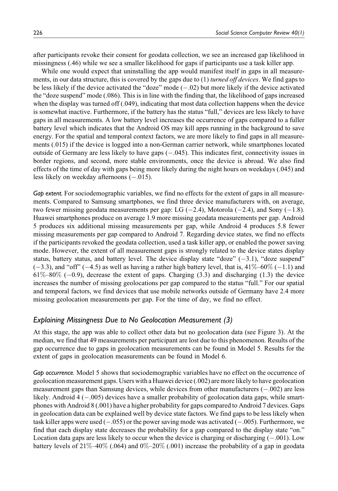after participants revoke their consent for geodata collection, we see an increased gap likelihood in missingness (.46) while we see a smaller likelihood for gaps if participants use a task killer app.

While one would expect that uninstalling the app would manifest itself in gaps in all measurements, in our data structure, this is covered by the gaps due to  $(1)$  turned off devices. We find gaps to be less likely if the device activated the "doze" mode  $(-.02)$  but more likely if the device activated the "doze suspend" mode (.086). This is in line with the finding that, the likelihood of gaps increased when the display was turned off (.049), indicating that most data collection happens when the device is somewhat inactive. Furthermore, if the battery has the status "full," devices are less likely to have gaps in all measurements. A low battery level increases the occurrence of gaps compared to a fuller battery level which indicates that the Android OS may kill apps running in the background to save energy. For the spatial and temporal context factors, we are more likely to find gaps in all measurements (.015) if the device is logged into a non-German carrier network, while smartphones located outside of Germany are less likely to have gaps  $(-0.045)$ . This indicates first, connectivity issues in border regions, and second, more stable environments, once the device is abroad. We also find effects of the time of day with gaps being more likely during the night hours on weekdays (.045) and less likely on weekday afternoons  $(-.015)$ .

Gap extent. For sociodemographic variables, we find no effects for the extent of gaps in all measurements. Compared to Samsung smartphones, we find three device manufacturers with, on average, two fewer missing geodata measurements per gap: LG  $(-2.4)$ , Motorola  $(-2.4)$ , and Sony  $(-1.8)$ . Huawei smartphones produce on average 1.9 more missing geodata measurements per gap. Android 5 produces six additional missing measurements per gap, while Android 4 produces 5.8 fewer missing measurements per gap compared to Android 7. Regarding device states, we find no effects if the participants revoked the geodata collection, used a task killer app, or enabled the power saving mode. However, the extent of all measurement gaps is strongly related to the device states display status, battery status, and battery level. The device display state "doze"  $(-3.1)$ , "doze suspend"  $(-3.3)$ , and "off" (-4.5) as well as having a rather high battery level, that is,  $41\%$ -60% (-1.1) and  $61\% - 80\%$  (-0.9), decrease the extent of gaps. Charging (3.3) and discharging (1.3) the device increases the number of missing geolocations per gap compared to the status "full." For our spatial and temporal factors, we find devices that use mobile networks outside of Germany have 2.4 more missing geolocation measurements per gap. For the time of day, we find no effect.

#### Explaining Missingness Due to No Geolocation Measurement (3)

At this stage, the app was able to collect other data but no geolocation data (see Figure 3). At the median, we find that 49 measurements per participant are lost due to this phenomenon. Results of the gap occurrence due to gaps in geolocation measurements can be found in Model 5. Results for the extent of gaps in geolocation measurements can be found in Model 6.

Gap occurrence. Model 5 shows that sociodemographic variables have no effect on the occurrence of geolocation measurement gaps. Users with a Huawei device (.002) are more likely to have geolocation measurement gaps than Samsung devices, while devices from other manufacturers  $(-.002)$  are less likely. Android  $4 (-0.005)$  devices have a smaller probability of geolocation data gaps, while smartphones with Android 8 (.001) have a higher probability for gaps compared to Android 7 devices. Gaps in geolocation data can be explained well by device state factors. We find gaps to be less likely when task killer apps were used  $(-.055)$  or the power saving mode was activated  $(-.005)$ . Furthermore, we find that each display state decreases the probability for a gap compared to the display state "on." Location data gaps are less likely to occur when the device is charging or discharging  $(-.001)$ . Low battery levels of  $21\% - 40\%$  (.064) and  $0\% - 20\%$  (.001) increase the probability of a gap in geodata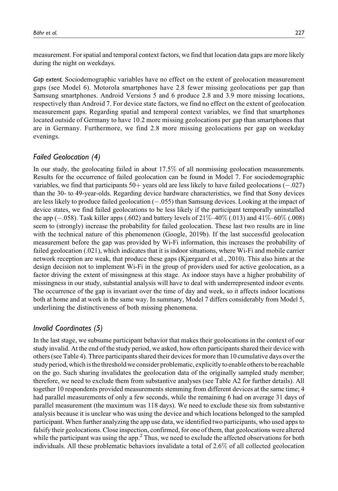measurement. For spatial and temporal context factors, we find that location data gaps are more likely during the night on weekdays.

Gap extent. Sociodemographic variables have no effect on the extent of geolocation measurement gaps (see Model 6). Motorola smartphones have 2.8 fewer missing geolocations per gap than Samsung smartphones. Android Versions 5 and 6 produce 2.8 and 3.9 more missing locations, respectively than Android 7. For device state factors, we find no effect on the extent of geolocation measurement gaps. Regarding spatial and temporal context variables, we find that smartphones located outside of Germany to have 10.2 more missing geolocations per gap than smartphones that are in Germany. Furthermore, we find 2.8 more missing geolocations per gap on weekday evenings.

## Failed Geolocation (4)

In our study, the geolocating failed in about 17.5% of all nonmissing geolocation measurements. Results for the occurrence of failed geolocation can be found in Model 7. For sociodemographic variables, we find that participants  $50+$  years old are less likely to have failed geolocations ( $-.027$ ) than the 30- to 49-year-olds. Regarding device hardware characteristics, we find that Sony devices are less likely to produce failed geolocation  $(-.055)$  than Samsung devices. Looking at the impact of device states, we find failed geolocations to be less likely if the participant temporally uninstalled the app ( $-.058$ ). Task killer apps (.602) and battery levels of 21%–40% (.013) and 41%–60% (.008) seem to (strongly) increase the probability for failed geolocation. These last two results are in line with the technical nature of this phenomenon (Google, 2019b). If the last successful geolocation measurement before the gap was provided by Wi-Fi information, this increases the probability of failed geolocation (.021), which indicates that it is indoor situations, where Wi-Fi and mobile carrier network reception are weak, that produce these gaps (Kjærgaard et al., 2010). This also hints at the design decision not to implement Wi-Fi in the group of providers used for active geolocation, as a factor driving the extent of missingness at this stage. As indoor stays have a higher probability of missingness in our study, substantial analysis will have to deal with underrepresented indoor events. The occurrence of the gap is invariant over the time of day and week, so it affects indoor locations both at home and at work in the same way. In summary, Model 7 differs considerably from Model 5, underlining the distinctiveness of both missing phenomena.

## Invalid Coordinates (5)

In the last stage, we subsume participant behavior that makes their geolocations in the context of our study invalid. At the end of the study period, we asked, how often participants shared their device with others (see Table 4). Three participants shared their devices for more than 10 cumulative days over the study period, which is the threshold we consider problematic, explicitly to enable others to be reachable on the go. Such sharing invalidates the geolocation data of the originally sampled study member; therefore, we need to exclude them from substantive analyses (see Table A2 for further details). All together 10 respondents provided measurements stemming from different devices at the same time; 4 had parallel measurements of only a few seconds, while the remaining 6 had on average 31 days of parallel measurement (the maximum was 118 days). We need to exclude these six from substantive analysis because it is unclear who was using the device and which locations belonged to the sampled participant. When further analyzing the app use data, we identified two participants, who used apps to falsify their geolocations. Close inspection, confirmed, for one of them, that geolocations were altered while the participant was using the app.<sup>2</sup> Thus, we need to exclude the affected observations for both individuals. All these problematic behaviors invalidate a total of 2.6% of all collected geolocation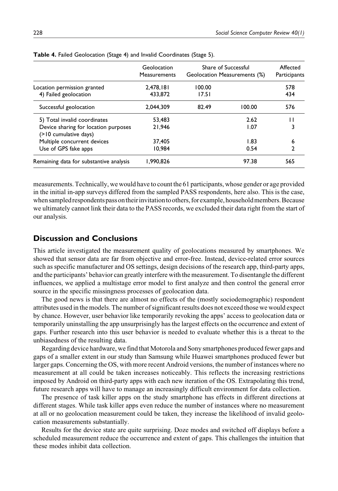|                                                               | Geolocation<br><b>Measurements</b> |        | Share of Successful<br>Geolocation Measurements (%) | Affected<br>Participants |
|---------------------------------------------------------------|------------------------------------|--------|-----------------------------------------------------|--------------------------|
| Location permission granted                                   | 2.478.181                          | 100.00 |                                                     | 578                      |
| 4) Failed geolocation                                         | 433,872                            | 17.51  |                                                     | 434                      |
| Successful geolocation                                        | 2.044.309                          | 82.49  | 100.00                                              | 576                      |
| 5) Total invalid coordinates                                  | 53,483                             |        | 2.62                                                | П                        |
| Device sharing for location purposes<br>(>10 cumulative days) | 21.946                             |        | 1.07                                                |                          |
| Multiple concurrent devices                                   | 37.405                             |        | 1.83                                                | 6                        |
| Use of GPS fake apps                                          | 10.984                             |        | 0.54                                                | າ                        |
| Remaining data for substantive analysis                       | 1.990.826                          |        | 97.38                                               | 565                      |

Table 4. Failed Geolocation (Stage 4) and Invalid Coordinates (Stage 5).

measurements. Technically, we would have to count the 61 participants, whose gender or age provided in the initial in-app surveys differed from the sampled PASS respondents, here also. This is the case, when sampled respondents pass on their invitation to others, for example, household members. Because we ultimately cannot link their data to the PASS records, we excluded their data right from the start of our analysis.

## Discussion and Conclusions

This article investigated the measurement quality of geolocations measured by smartphones. We showed that sensor data are far from objective and error-free. Instead, device-related error sources such as specific manufacturer and OS settings, design decisions of the research app, third-party apps, and the participants' behavior can greatly interfere with the measurement. To disentangle the different influences, we applied a multistage error model to first analyze and then control the general error source in the specific missingness processes of geolocation data.

The good news is that there are almost no effects of the (mostly sociodemographic) respondent attributes used in the models. The number of significant results does not exceed those we would expect by chance. However, user behavior like temporarily revoking the apps' access to geolocation data or temporarily uninstalling the app unsurprisingly has the largest effects on the occurrence and extent of gaps. Further research into this user behavior is needed to evaluate whether this is a threat to the unbiasedness of the resulting data.

Regarding device hardware, we find that Motorola and Sony smartphones produced fewer gaps and gaps of a smaller extent in our study than Samsung while Huawei smartphones produced fewer but larger gaps. Concerning the OS, with more recent Android versions, the number of instances where no measurement at all could be taken increases noticeably. This reflects the increasing restrictions imposed by Android on third-party apps with each new iteration of the OS. Extrapolating this trend, future research apps will have to manage an increasingly difficult environment for data collection.

The presence of task killer apps on the study smartphone has effects in different directions at different stages. While task killer apps even reduce the number of instances where no measurement at all or no geolocation measurement could be taken, they increase the likelihood of invalid geolocation measurements substantially.

Results for the device state are quite surprising. Doze modes and switched off displays before a scheduled measurement reduce the occurrence and extent of gaps. This challenges the intuition that these modes inhibit data collection.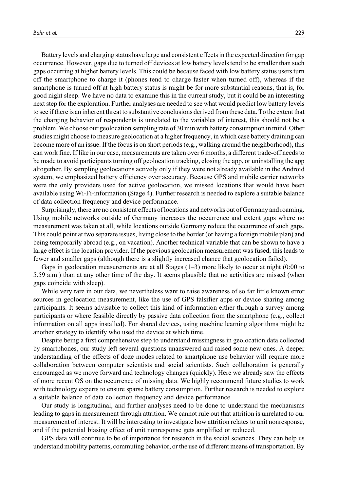Battery levels and charging status have large and consistent effects in the expected direction for gap occurrence. However, gaps due to turned off devices at low battery levels tend to be smaller than such gaps occurring at higher battery levels. This could be because faced with low battery status users turn off the smartphone to charge it (phones tend to charge faster when turned off), whereas if the smartphone is turned off at high battery status is might be for more substantial reasons, that is, for good night sleep. We have no data to examine this in the current study, but it could be an interesting next step for the exploration. Further analyses are needed to see what would predict low battery levels to see if there is an inherent threat to substantive conclusions derived from these data. To the extent that the charging behavior of respondents is unrelated to the variables of interest, this should not be a problem.We choose our geolocation sampling rate of 30 min with battery consumption in mind. Other studies might choose to measure geolocation at a higher frequency, in which case battery draining can become more of an issue. If the focus is on short periods (e.g., walking around the neighborhood), this can work fine. If like in our case, measurements are taken over 6 months, a different trade-off needs to be made to avoid participants turning off geolocation tracking, closing the app, or uninstalling the app altogether. By sampling geolocations actively only if they were not already available in the Android system, we emphasized battery efficiency over accuracy. Because GPS and mobile carrier networks were the only providers used for active geolocation, we missed locations that would have been available using Wi-Fi-information (Stage 4). Further research is needed to explore a suitable balance of data collection frequency and device performance.

Surprisingly, there are no consistent effects of locations and networks out of Germany and roaming. Using mobile networks outside of Germany increases the occurrence and extent gaps where no measurement was taken at all, while locations outside Germany reduce the occurrence of such gaps. This could point at two separate issues, living close to the border (or having a foreign mobile plan) and being temporarily abroad (e.g., on vacation). Another technical variable that can be shown to have a large effect is the location provider. If the previous geolocation measurement was fused, this leads to fewer and smaller gaps (although there is a slightly increased chance that geolocation failed).

Gaps in geolocation measurements are at all Stages  $(1-3)$  more likely to occur at night  $(0:00$  to 5.59 a.m.) than at any other time of the day. It seems plausible that no activities are missed (when gaps coincide with sleep).

While very rare in our data, we nevertheless want to raise awareness of so far little known error sources in geolocation measurement, like the use of GPS falsifier apps or device sharing among participants. It seems advisable to collect this kind of information either through a survey among participants or where feasible directly by passive data collection from the smartphone (e.g., collect information on all apps installed). For shared devices, using machine learning algorithms might be another strategy to identify who used the device at which time.

Despite being a first comprehensive step to understand missingness in geolocation data collected by smartphones, our study left several questions unanswered and raised some new ones. A deeper understanding of the effects of doze modes related to smartphone use behavior will require more collaboration between computer scientists and social scientists. Such collaboration is generally encouraged as we move forward and technology changes (quickly). Here we already saw the effects of more recent OS on the occurrence of missing data. We highly recommend future studies to work with technology experts to ensure sparse battery consumption. Further research is needed to explore a suitable balance of data collection frequency and device performance.

Our study is longitudinal, and further analyses need to be done to understand the mechanisms leading to gaps in measurement through attrition. We cannot rule out that attrition is unrelated to our measurement of interest. It will be interesting to investigate how attrition relates to unit nonresponse, and if the potential biasing effect of unit nonresponse gets amplified or reduced.

GPS data will continue to be of importance for research in the social sciences. They can help us understand mobility patterns, commuting behavior, or the use of different means of transportation. By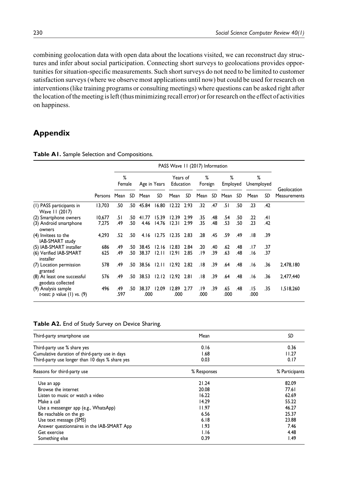combining geolocation data with open data about the locations visited, we can reconstruct day structures and infer about social participation. Connecting short surveys to geolocations provides opportunities for situation-specific measurements. Such short surveys do not need to be limited to customer satisfaction surveys (where we observe most applications until now) but could be used for research on interventions (like training programs or consulting meetings) where questions can be asked right after the location of the meeting is left (thus minimizing recall error) or for research on the effect of activities on happiness.

## Appendix

|                                                      |         |             |     |                 |              |                       |      | PASS Wave 11 (2017) Information |     |               |     |                 |      |              |
|------------------------------------------------------|---------|-------------|-----|-----------------|--------------|-----------------------|------|---------------------------------|-----|---------------|-----|-----------------|------|--------------|
|                                                      |         | %<br>Female |     |                 | Age in Years | Years of<br>Education |      | ℅<br>Foreign                    |     | %<br>Employed |     | %<br>Unemployed |      | Geolocation  |
|                                                      | Persons | Mean        | SD  | Mean            | SD           | Mean                  | SD   | Mean                            | SD  | Mean          | SD  | Mean            | SD   | Measurements |
| (1) PASS participants in<br>Wave II (2017)           | 13.703  | .50         |     | .50 45.84 16.80 |              | $12.22$ 2.93          |      | .32                             | .47 | .51           | .50 | .23             | .42  |              |
| (2) Smartphone owners                                | 10,677  | .5١         | .50 | 41.77           | 15.39        | 12.39                 | 2.99 | .35                             | .48 | .54           | .50 | .22             | .4 I |              |
| (3) Android smartphone<br>owners                     | 7.275   | .49         | .50 |                 | 4.46 14.76   | $ 2.3 $ 2.99          |      | .35                             | .48 | .53           | .50 | .23             | .42  |              |
| (4) Invitees to the<br>IAB-SMART study               | 4.293   | .52         | .50 |                 |              | 4.16 12.75 12.35 2.83 |      | .28                             | .45 | .59           | .49 | 18.             | .39  |              |
| (5) IAB-SMART installer                              | 686     | .49         | .50 | 38.45           | 12.16        | 12.83                 | 2.84 | .20                             | .40 | .62           | .48 | .17             | .37  |              |
| (6) Verified IAB-SMART<br>installer                  | 625     | .49         | .50 | 38.37           | 12.11        | $ 2.9 $ 2.85          |      | 19.                             | .39 | .63           | .48 | 16.             | .37  |              |
| (7) Location permission<br>granted                   | 578     | .49         |     | .50 38.56 12.11 |              | $12.92$ $2.82$        |      | 18.                             | .39 | .64           | .48 | 16.             | .36  | 2,478,180    |
| (8) At least one successful<br>geodata collected     | 576     | .49         | .50 | 38.53           |              | 12.12 12.92 2.81      |      | 18.                             | .39 | .64           | .48 | 16.             | .36  | 2,477,440    |
| (9) Analysis sample<br>t-test: $p$ value (1) vs. (9) | 496     | .49<br>.597 | .50 | 38.37<br>.000   | 12.09        | 12.89 2.77<br>.000    |      | ۱9.<br>.000                     | .39 | .65<br>.000   | .48 | . 15<br>.000    | .35  | 1,518,260    |

Table A1. Sample Selection and Compositions.

#### Table A2. End of Study Survey on Device Sharing.

| Third-party smartphone use                      | Mean        | SD             |
|-------------------------------------------------|-------------|----------------|
| Third-party use % share yes                     | 0.16        | 0.36           |
| Cumulative duration of third-party use in days  | 1.68        | 11.27          |
| Third-party use longer than 10 days % share yes | 0.03        | 0.17           |
| Reasons for third-party use                     | % Responses | % Participants |
| Use an app                                      | 21.24       | 82.09          |
| Browse the internet                             | 20.08       | 77.61          |
| Listen to music or watch a video                | 16.22       | 62.69          |
| Make a call                                     | 14.29       | 55.22          |
| Use a messenger app (e.g., WhatsApp)            | 11.97       | 46.27          |
| Be reachable on the go                          | 6.56        | 25.37          |
| Use text message (SMS)                          | 6.18        | 23.88          |
| Answer questionnaires in the IAB-SMART App      | 1.93        | 7.46           |
| Get exercise                                    | 1.16        | 4.48           |
| Something else                                  | 0.39        | 1.49           |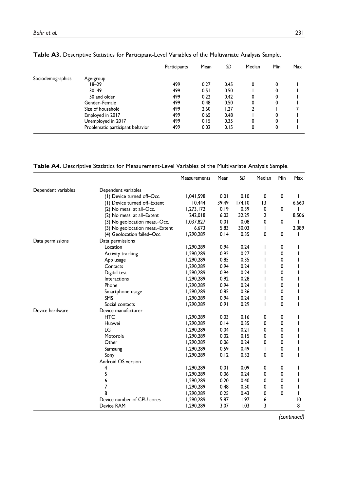|                   |                                  | Participants | Mean | SD   | Median | Min | Max |
|-------------------|----------------------------------|--------------|------|------|--------|-----|-----|
| Sociodemographics | Age-group                        |              |      |      |        |     |     |
|                   | $18 - 29$                        | 499          | 0.27 | 0.45 | 0      | 0   |     |
|                   | $30 - 49$                        | 499          | 0.51 | 0.50 |        | 0   |     |
|                   | 50 and older                     | 499          | 0.22 | 0.42 | 0      | 0   |     |
|                   | Gender-Female                    | 499          | 0.48 | 0.50 | 0      | 0   |     |
|                   | Size of household                | 499          | 2.60 | 1.27 |        |     |     |
|                   | Employed in 2017                 | 499          | 0.65 | 0.48 |        | 0   |     |
|                   | Unemployed in 2017               | 499          | 0.15 | 0.35 | 0      | 0   |     |
|                   | Problematic participant behavior | 499          | 0.02 | 0.15 | 0      | 0   |     |

Table A3. Descriptive Statistics for Participant-Level Variables of the Multivariate Analysis Sample.

Table A4. Descriptive Statistics for Measurement-Level Variables of the Multivariate Analysis Sample.

|                     |                                 | <b>Measurements</b> | Mean  | SD     | Median       | Min | Max   |
|---------------------|---------------------------------|---------------------|-------|--------|--------------|-----|-------|
| Dependent variables | Dependent variables             |                     |       |        |              |     |       |
|                     | (1) Device turned off-Occ.      | 1,041,598           | 0.01  | 0.10   | 0            | 0   |       |
|                     | (1) Device turned off-Extent    | 10,444              | 39.49 | 174.10 | 13           | T   | 6,660 |
|                     | (2) No meas. at all-Occ.        | 1,273,172           | 0.19  | 0.39   | 0            | 0   |       |
|                     | (2) No meas. at all-Extent      | 242,018             | 6.03  | 32.29  | 2            | T   | 8,506 |
|                     | (3) No geolocation meas.-Occ.   | 1,037,827           | 0.01  | 0.08   | 0            | 0   |       |
|                     | (3) No geolocation meas.-Extent | 6,673               | 5.83  | 30.03  | $\mathbf{I}$ | T   | 2,089 |
|                     | (4) Geolocation failed-Occ.     | 1,290,289           | 0.14  | 0.35   | 0            | 0   |       |
| Data permissions    | Data permissions                |                     |       |        |              |     |       |
|                     | Location                        | 1,290,289           | 0.94  | 0.24   | L            | 0   |       |
|                     | Activity tracking               | 1,290,289           | 0.92  | 0.27   | T            | 0   |       |
|                     | App usage                       | 1,290,289           | 0.85  | 0.35   |              | 0   |       |
|                     | Contacts                        | 1,290,289           | 0.94  | 0.24   |              | 0   |       |
|                     | Digital test                    | 1,290,289           | 0.94  | 0.24   | ı            | 0   |       |
|                     | Interactions                    | 1,290,289           | 0.92  | 0.28   |              | 0   |       |
|                     | Phone                           | 1,290,289           | 0.94  | 0.24   |              | 0   |       |
|                     | Smartphone usage                | 1,290,289           | 0.85  | 0.36   |              | 0   |       |
|                     | SMS                             | 1,290,289           | 0.94  | 0.24   | T            | 0   |       |
|                     | Social contacts                 | 1,290,289           | 0.91  | 0.29   | L            | 0   |       |
| Device hardware     | Device manufacturer             |                     |       |        |              |     |       |
|                     | <b>HTC</b>                      | 1,290,289           | 0.03  | 0.16   | 0            | 0   |       |
|                     | Huawei                          | 1,290,289           | 0.14  | 0.35   | 0            | 0   |       |
|                     | LG                              | 1,290,289           | 0.04  | 0.21   | 0            | 0   |       |
|                     | Motorola                        | 1,290,289           | 0.02  | 0.15   | 0            | 0   |       |
|                     | Other                           | 1,290,289           | 0.06  | 0.24   | 0            | 0   |       |
|                     | Samsung                         | 1,290,289           | 0.59  | 0.49   | $\mathbf{I}$ | 0   |       |
|                     | Sony                            | 1,290,289           | 0.12  | 0.32   | 0            | 0   |       |
|                     | Android OS version              |                     |       |        |              |     |       |
|                     | 4                               | 1,290,289           | 0.01  | 0.09   | 0            | 0   |       |
|                     | 5                               | 1,290,289           | 0.06  | 0.24   | 0            | 0   |       |
|                     | 6                               | 1,290,289           | 0.20  | 0.40   | 0            | 0   |       |
|                     | 7                               | 1,290,289           | 0.48  | 0.50   | 0            | 0   |       |
|                     | 8                               | 1,290,289           | 0.25  | 0.43   | 0            | 0   |       |
|                     | Device number of CPU cores      | 1,290,289           | 5.87  | 1.97   | 6            | ı   | 10    |
|                     | Device RAM                      | 1,290,289           | 3.07  | 1.03   | 3            | ı   | 8     |

(continued)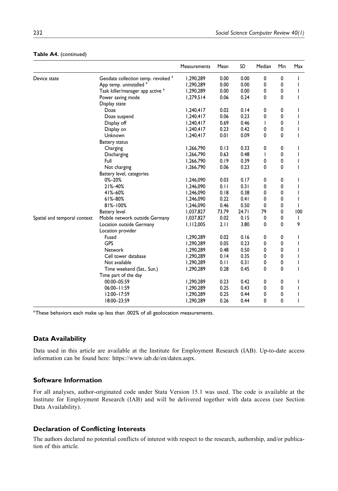|                              |                                               | <b>Measurements</b> | Mean  | SD    | Median       | Min | Max          |
|------------------------------|-----------------------------------------------|---------------------|-------|-------|--------------|-----|--------------|
| Device state                 | Geodata collection temp. revoked <sup>a</sup> | 1,290,289           | 0.00  | 0.00  | 0            | 0   |              |
|                              | App temp. uninstalled <sup>a</sup>            | 1,290,289           | 0.00  | 0.00  | 0            | 0   |              |
|                              | Task killer/manager app active <sup>a</sup>   | 1,290,289           | 0.00  | 0.00  | 0            | 0   |              |
|                              | Power saving mode                             | 1,279,514           | 0.06  | 0.24  | 0            | 0   | ı            |
|                              | Display state                                 |                     |       |       |              |     |              |
|                              | Doze                                          | 1,240,417           | 0.02  | 0.14  | 0            | 0   |              |
|                              | Doze suspend                                  | 1,240,417           | 0.06  | 0.23  | 0            | 0   |              |
|                              | Display off                                   | 1,240,417           | 0.69  | 0.46  | $\mathbf{I}$ | 0   |              |
|                              | Display on                                    | 1,240,417           | 0.23  | 0.42  | 0            | 0   |              |
|                              | Unknown                                       | 1,240,417           | 0.01  | 0.09  | 0            | 0   | ı            |
|                              | Battery status                                |                     |       |       |              |     |              |
|                              | Charging                                      | 1,266,790           | 0.13  | 0.33  | 0            | 0   |              |
|                              | Discharging                                   | 1,266,790           | 0.63  | 0.48  | I            | 0   | ı            |
|                              | Full                                          | 1,266,790           | 0.19  | 0.39  | 0            | 0   |              |
|                              | Not charging                                  | 1,266,790           | 0.06  | 0.23  | 0            | 0   | ı            |
|                              | Battery level, categories                     |                     |       |       |              |     |              |
|                              | $0\% - 20\%$                                  | 1,246,090           | 0.03  | 0.17  | 0            | 0   |              |
|                              | 21%-40%                                       | 1,246,090           | 0.11  | 0.31  | 0            | 0   | ı            |
|                              | 41%-60%                                       | 1,246,090           | 0.18  | 0.38  | 0            | 0   |              |
|                              | 61%-80%                                       | 1,246,090           | 0.22  | 0.41  | 0            | 0   |              |
|                              | 81%-100%                                      | 1,246,090           | 0.46  | 0.50  | 0            | 0   | L            |
|                              | <b>Battery level</b>                          | 1,037,827           | 73.79 | 24.71 | 79           | 0   | 100          |
| Spatial and temporal context | Mobile network outside Germany                | 1,037,827           | 0.02  | 0.15  | 0            | 0   | $\mathbf{I}$ |
|                              | Location outside Germany                      | 1,112,005           | 2.11  | 3.80  | 0            | 0   | 9            |
|                              | Location provider                             |                     |       |       |              |     |              |
|                              | Fused                                         | 1,290,289           | 0.02  | 0.16  | 0            | 0   | ı            |
|                              | GPS                                           | 1,290,289           | 0.05  | 0.23  | 0            | 0   | ı            |
|                              | <b>Network</b>                                | 1,290,289           | 0.48  | 0.50  | 0            | 0   |              |
|                              | Cell tower database                           | 1,290,289           | 0.14  | 0.35  | 0            | 0   |              |
|                              | Not available                                 | 1,290,289           | 0.11  | 0.31  | 0            | 0   |              |
|                              | Time weekend (Sat., Sun.)                     | 1,290,289           | 0.28  | 0.45  | 0            | 0   | I            |
|                              | Time part of the day                          |                     |       |       |              |     |              |
|                              | 00:00-05:59                                   | 1,290,289           | 0.23  | 0.42  | 0            | 0   | ı            |
|                              | 06:00-11:59                                   | 1,290,289           | 0.25  | 0.43  | 0            | 0   | I            |
|                              | 12:00-17:59                                   | 1,290,289           | 0.25  | 0.44  | 0            | 0   |              |
|                              | 18:00-23:59                                   | 1,290,289           | 0.26  | 0.44  | 0            | 0   |              |

Table A4. (continued)

<sup>a</sup>These behaviors each make up less than .002% of all geolocation measurements.

#### Data Availability

Data used in this article are available at the Institute for Employment Research (IAB). Up-to-date access information can be found here: https://www.iab.de/en/daten.aspx.

#### Software Information

For all analyses, author-originated code under Stata Version 15.1 was used. The code is available at the Institute for Employment Research (IAB) and will be delivered together with data access (see Section Data Availability).

#### Declaration of Conflicting Interests

The authors declared no potential conflicts of interest with respect to the research, authorship, and/or publication of this article.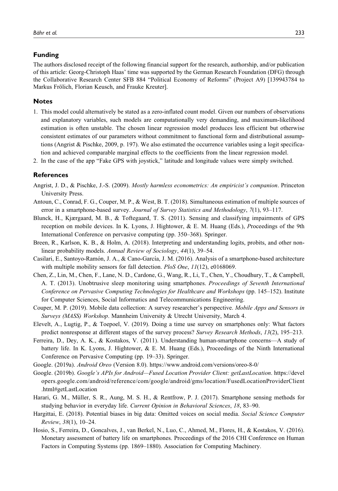#### Funding

The authors disclosed receipt of the following financial support for the research, authorship, and/or publication of this article: Georg-Christoph Haas' time was supported by the German Research Foundation (DFG) through the Collaborative Research Center SFB 884 "Political Economy of Reforms" (Project A9) [139943784 to Markus Frölich, Florian Keusch, and Frauke Kreuter].

#### Notes

- 1. This model could alternatively be stated as a zero-inflated count model. Given our numbers of observations and explanatory variables, such models are computationally very demanding, and maximum-likelihood estimation is often unstable. The chosen linear regression model produces less efficient but otherwise consistent estimates of our parameters without commitment to functional form and distributional assumptions (Angrist & Pischke, 2009, p. 197). We also estimated the occurrence variables using a logit specification and achieved comparable marginal effects to the coefficients from the linear regression model.
- 2. In the case of the app "Fake GPS with joystick," latitude and longitude values were simply switched.

#### **References**

- Angrist, J. D., & Pischke, J.-S. (2009). Mostly harmless econometrics: An empiricist's companion. Princeton University Press.
- Antoun, C., Conrad, F. G., Couper, M. P., & West, B. T. (2018). Simultaneous estimation of multiple sources of error in a smartphone-based survey. Journal of Survey Statistics and Methodology, 7(1), 93-117.
- Blunck, H., Kjærgaard, M. B., & Toftegaard, T. S. (2011). Sensing and classifying impairments of GPS reception on mobile devices. In K. Lyons, J. Hightower, & E. M. Huang (Eds.), Proceedings of the 9th International Conference on pervasive computing (pp. 350–368). Springer.
- Breen, R., Karlson, K. B., & Holm, A. (2018). Interpreting and understanding logits, probits, and other nonlinear probability models. Annual Review of Sociology, 44(1), 39–54.
- Casilari, E., Santoyo-Ramón, J. A., & Cano-García, J. M. (2016). Analysis of a smartphone-based architecture with multiple mobility sensors for fall detection. PloS One, 11(12), e0168069.
- Chen, Z., Lin, M., Chen, F., Lane, N. D., Cardone, G., Wang, R., Li, T., Chen, Y., Choudhury, T., & Campbell, A. T. (2013). Unobtrusive sleep monitoring using smartphones. Proceedings of Seventh International Conference on Pervasive Computing Technologies for Healthcare and Workshops (pp. 145–152). Institute for Computer Sciences, Social Informatics and Telecommunications Engineering.
- Couper, M. P. (2019). Mobile data collection: A survey researcher's perspective. Mobile Apps and Sensors in Surveys (MASS) Workshop. Mannheim University & Utrecht University, March 4.
- Elevelt, A., Lugtig, P., & Toepoel, V. (2019). Doing a time use survey on smartphones only: What factors predict nonresponse at different stages of the survey process? Survey Research Methods, 13(2), 195-213.
- Ferreira, D., Dey, A. K., & Kostakos, V. (2011). Understanding human-smartphone concerns—A study of battery life. In K. Lyons, J. Hightower, & E. M. Huang (Eds.), Proceedings of the Ninth International Conference on Pervasive Computing (pp. 19–33). Springer.
- Google. (2019a). Android Oreo (Version 8.0). https://www.android.com/versions/oreo-8-0/
- Google. (2019b). Google's APIs for Android—Fused Location Provider Client: getLastLocation. https://devel opers.google.com/android/reference/com/google/android/gms/location/FusedLocationProviderClient .html#getLastLocation
- Harari, G. M., Müller, S. R., Aung, M. S. H., & Rentfrow, P. J. (2017). Smartphone sensing methods for studying behavior in everyday life. Current Opinion in Behavioral Sciences, 18, 83-90.
- Hargittai, E. (2018). Potential biases in big data: Omitted voices on social media. Social Science Computer Review, 38(1), 10–24.
- Hosio, S., Ferreira, D., Goncalves, J., van Berkel, N., Luo, C., Ahmed, M., Flores, H., & Kostakos, V. (2016). Monetary assessment of battery life on smartphones. Proceedings of the 2016 CHI Conference on Human Factors in Computing Systems (pp. 1869–1880). Association for Computing Machinery.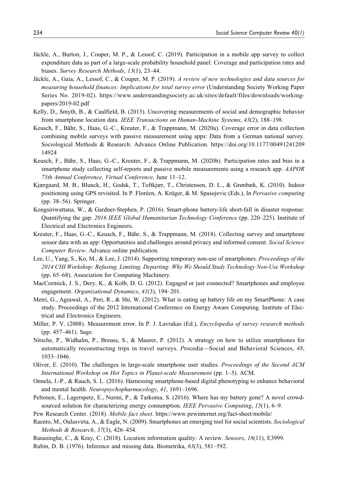- Jäckle, A., Burton, J., Couper, M. P., & Lessof, C. (2019). Participation in a mobile app survey to collect expenditure data as part of a large-scale probability household panel: Coverage and participation rates and biases. Survey Research Methods, 13(1), 23–44.
- Jäckle, A., Gaia, A., Lessof, C., & Couper, M. P. (2019). A review of new technologies and data sources for measuring household finances: Implications for total survey error (Understanding Society Working Paper Series No. 2019-02). https://www.understandingsociety.ac.uk/sites/default/files/downloads/workingpapers/2019-02.pdf
- Kelly, D., Smyth, B., & Caulfield, B. (2013). Uncovering measurements of social and demographic behavior from smartphone location data. IEEE Transactions on Human-Machine Systems, 43(2), 188-198.
- Keusch, F., Bähr, S., Haas, G.-C., Kreuter, F., & Trappmann, M. (2020a). Coverage error in data collection combining mobile surveys with passive measurement using apps: Data from a German national survey. Sociological Methods & Research. Advance Online Publication. https://doi.org/10.1177/00491241209 14924
- Keusch, F., Bähr, S., Haas, G.-C., Kreuter, F., & Trappmann, M. (2020b). Participation rates and bias in a smartphone study collecting self-reports and passive mobile measurements using a research app. AAPOR 75th Annual Conference, Virtual Conference, June 11–12.
- Kjærgaard, M. B., Blunck, H., Godsk, T., Toftkjær, T., Christensen, D. L., & Grønbæk, K. (2010). Indoor positioning using GPS revisited. In P. Floréen, A. Krüger, & M. Spasojevic (Eds.), In Pervasive computing (pp. 38–56). Springer.
- Kongsiriwattana, W., & Gardner-Stephen, P. (2016). Smart-phone battery-life short-fall in disaster response: Quantifying the gap. 2016 IEEE Global Humanitarian Technology Conference (pp. 220–225). Institute of Electrical and Electronics Engineers.
- Kreuter, F., Haas, G.-C., Keusch, F., Bähr, S., & Trappmann, M. (2018). Collecting survey and smartphone sensor data with an app: Opportunities and challenges around privacy and informed consent. Social Science Computer Review. Advance online publication.
- Lee, U., Yang, S., Ko, M., & Lee, J. (2014). Supporting temporary non-use of smartphones. Proceedings of the 2014 CHI Workshop: Refusing, Limiting, Departing: Why We Should Study Technology Non-Use Workshop (pp. 65–68). Association for Computing Machinery.
- MacCormick, J. S., Dery, K., & Kolb, D. G. (2012). Engaged or just connected? Smartphones and employee engagement. Organizational Dynamics, 41(3), 194–201.
- Metri, G., Agrawal, A., Peri, R., & Shi, W. (2012). What is eating up battery life on my SmartPhone: A case study. Proceedings of the 2012 International Conference on Energy Aware Computing. Institute of Electrical and Electronics Engineers.
- Miller, P. V. (2008). Measurement error. In P. J. Lavrakas (Ed.), Encyclopedia of survey research methods (pp. 457–461). Sage.
- Nitsche, P., Widhalm, P., Breuss, S., & Maurer, P. (2012). A strategy on how to utilize smartphones for automatically reconstructing trips in travel surveys. Procedia—Social and Behavioral Sciences, 48, 1033–1046.
- Oliver, E. (2010). The challenges in large-scale smartphone user studies. Proceedings of the Second ACM International Workshop on Hot Topics in Planet-scale Measurement (pp. 1–5). ACM.
- Onnela, J.-P., & Rauch, S. L. (2016). Harnessing smartphone-based digital phenotyping to enhance behavioral and mental health. Neuropsychopharmacology, 41, 1691–1696.
- Peltonen, E., Lagerspetz, E., Nurmi, P., & Tarkoma, S. (2016). Where has my battery gone? A novel crowdsourced solution for characterizing energy consumption. IEEE Pervasive Computing, 15(1), 6–9.

Pew Research Center. (2018). Mobile fact sheet. https://www.pewinternet.org/fact-sheet/mobile/

- Raento, M., Oulasvirta, A., & Eagle, N. (2009). Smartphones an emerging tool for social scientists. Sociological Methods & Research, 37(3), 426–454.
- Ranasinghe, C., & Kray, C. (2018). Location information quality: A review. Sensors, 18(11), E3999.

Rubin, D. B. (1976). Inference and missing data. Biometrika, 63(3), 581–592.